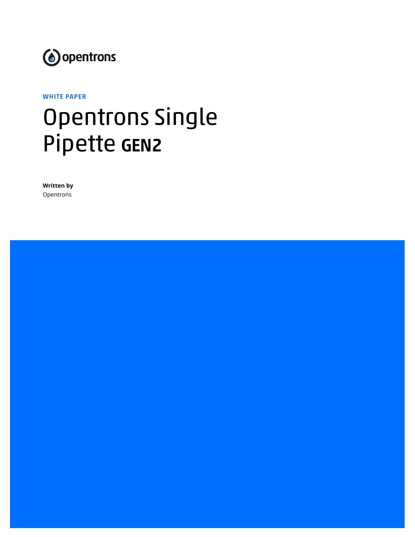

#### WHITE PAPER

# Opentrons Single Pipette GEN2

**Written by** Opentrons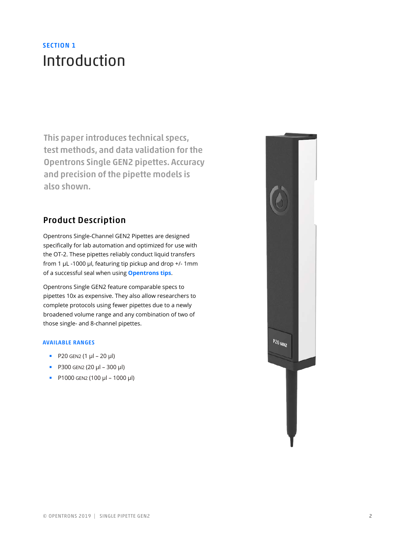# SECTION 1 Introduction

This paper introduces technical specs, test methods, and data validation for the Opentrons Single GEN2 pipettes. Accuracy and precision of the pipette models is also shown.

#### Product Description

Opentrons Single-Channel GEN2 Pipettes are designed specifically for lab automation and optimized for use with the OT-2. These pipettes reliably conduct liquid transfers from 1 µL -1000 µl, featuring tip pickup and drop +/- 1mm of a successful seal when using **Opentrons tips**.

Opentrons Single GEN2 feature comparable specs to pipettes 10x as expensive. They also allow researchers to complete protocols using fewer pipettes due to a newly broadened volume range and any combination of two of those single- and 8-channel pipettes.

#### AVAILABLE RANGES

- $P20$  GEN2 (1 μl 20 μl)
- P300 GEN2 (20 μl 300 μl)
- $P1000$  GEN2 (100 μl 1000 μl)

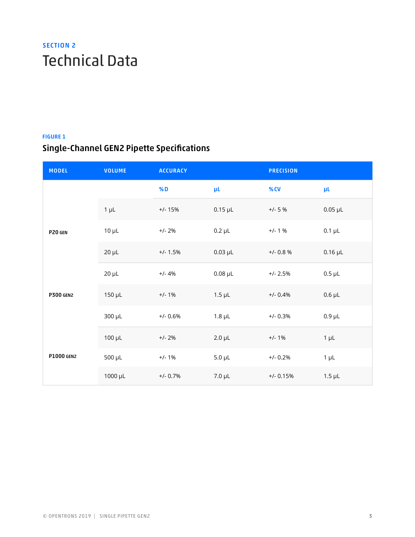# SECTION 2 Technical Data

#### FIGURE 1

## Single-Channel GEN2 Pipette Specifications

| <b>MODEL</b>                | <b>VOLUME</b> | <b>ACCURACY</b> |                | <b>PRECISION</b> |                |  |
|-----------------------------|---------------|-----------------|----------------|------------------|----------------|--|
|                             |               | <b>%D</b>       | μL             | $%$ CV           | μL             |  |
| P20 GEN<br><b>P300 GEN2</b> | $1 \mu L$     | $+/- 15%$       | $0.15$ $\mu$ L | $+/- 5 %$        | $0.05$ $\mu$ L |  |
|                             | $10 \mu L$    | $+/- 2%$        | $0.2 \mu L$    | $+/- 1 %$        | $0.1 \mu L$    |  |
|                             | $20 \mu L$    | $+/- 1.5%$      | $0.03$ $\mu$ L | $+/- 0.8 %$      | $0.16$ µL      |  |
|                             | $20 \mu L$    | $+/- 4%$        | $0.08$ $\mu$ L | $+/- 2.5%$       | $0.5 \mu L$    |  |
|                             | $150 \mu L$   | $+/- 1%$        | $1.5 \mu L$    | $+/- 0.4%$       | $0.6$ $\mu$ L  |  |
|                             | 300 µL        | $+/- 0.6%$      | $1.8 \mu L$    | $+/- 0.3%$       | $0.9 \mu L$    |  |
| <b>P1000 GEN2</b>           | $100 \mu L$   | $+/- 2%$        | $2.0 \mu L$    | $+/- 1%$         | $1 \mu L$      |  |
|                             | $500 \mu L$   | $+/- 1\%$       | $5.0 \mu L$    | $+/- 0.2%$       | $1 \mu L$      |  |
|                             | 1000 µL       | $+/- 0.7%$      | $7.0 \mu L$    | $+/- 0.15%$      | $1.5 \mu L$    |  |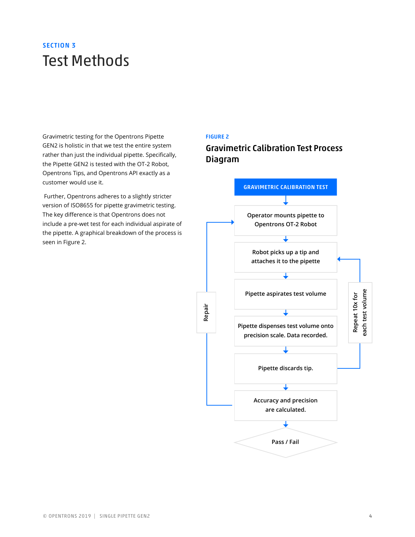# SECTION 3 Test Methods

Gravimetric testing for the Opentrons Pipette GEN2 is holistic in that we test the entire system rather than just the individual pipette. Specifically, the Pipette GEN2 is tested with the OT-2 Robot, Opentrons Tips, and Opentrons API exactly as a customer would use it.

 Further, Opentrons adheres to a slightly stricter version of ISO8655 for pipette gravimetric testing. The key difference is that Opentrons does not include a pre-wet test for each individual aspirate of the pipette. A graphical breakdown of the process is seen in Figure 2.

#### FIGURE 2

Gravimetric Calibration Test Process Diagram

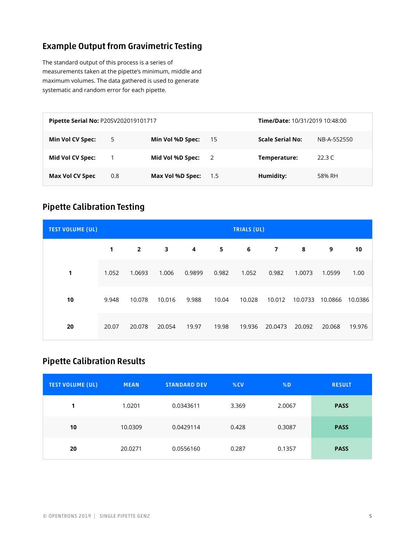### Example Output from Gravimetric Testing

The standard output of this process is a series of measurements taken at the pipette's minimum, middle and maximum volumes. The data gathered is used to generate systematic and random error for each pipette.

| Pipette Serial No: P20SV202019101717 |     |                  |       | <b>Time/Date: 10/31/2019 10:48:00</b> |             |  |
|--------------------------------------|-----|------------------|-------|---------------------------------------|-------------|--|
| Min Vol CV Spec:                     | 5   | Min Vol %D Spec: | -15   | <b>Scale Serial No:</b>               | NB-A-552550 |  |
| Mid Vol CV Spec:                     |     | Mid Vol %D Spec: | - 2   | Temperature:                          | 22.3 $C$    |  |
| Max Vol CV Spec                      | 0.8 | Max Vol %D Spec: | - 1.5 | Humidity:                             | 58% RH      |  |

### Pipette Calibration Testing

| <b>TEST VOLUME (UL)</b> | <b>TRIALS (UL)</b> |                |        |        |       |        |                |         |         |         |
|-------------------------|--------------------|----------------|--------|--------|-------|--------|----------------|---------|---------|---------|
|                         | 1                  | $\overline{2}$ | 3      | 4      | 5     | 6      | $\overline{7}$ | 8       | 9       | 10      |
| 1                       | 1.052              | 1.0693         | 1.006  | 0.9899 | 0.982 | 1.052  | 0.982          | 1.0073  | 1.0599  | 1.00    |
| 10                      | 9.948              | 10.078         | 10.016 | 9.988  | 10.04 | 10.028 | 10.012         | 10.0733 | 10.0866 | 10.0386 |
| 20                      | 20.07              | 20.078         | 20.054 | 19.97  | 19.98 | 19.936 | 20.0473        | 20.092  | 20.068  | 19.976  |

### Pipette Calibration Results

| <b>TEST VOLUME (UL)</b> | <b>MEAN</b> | <b>STANDARD DEV</b> | %CV   | %D     | <b>RESULT</b> |
|-------------------------|-------------|---------------------|-------|--------|---------------|
| 1                       | 1.0201      | 0.0343611           | 3.369 | 2.0067 | <b>PASS</b>   |
| 10                      | 10.0309     | 0.0429114           | 0.428 | 0.3087 | <b>PASS</b>   |
| 20                      | 20.0271     | 0.0556160           | 0.287 | 0.1357 | <b>PASS</b>   |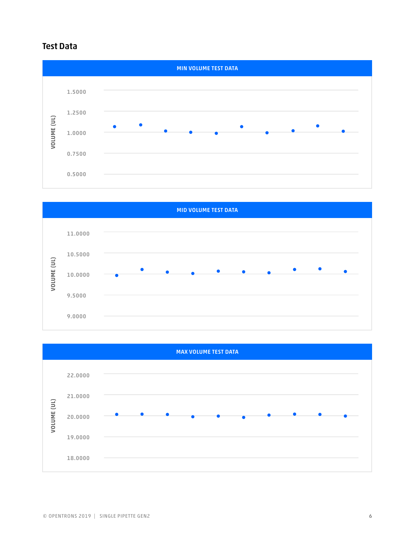### Test Data